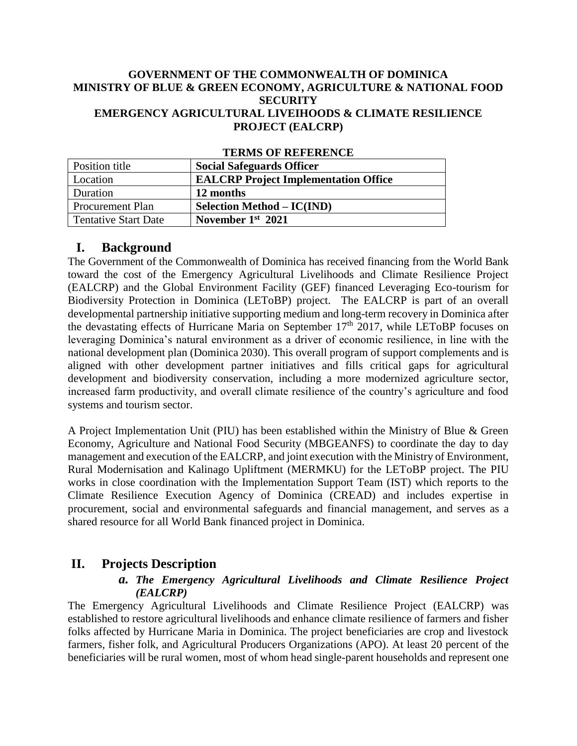#### **GOVERNMENT OF THE COMMONWEALTH OF DOMINICA MINISTRY OF BLUE & GREEN ECONOMY, AGRICULTURE & NATIONAL FOOD SECURITY EMERGENCY AGRICULTURAL LIVEIHOODS & CLIMATE RESILIENCE PROJECT (EALCRP)**

| TERRITO OT TELEVISIONE      |                                             |
|-----------------------------|---------------------------------------------|
| Position title              | <b>Social Safeguards Officer</b>            |
| Location                    | <b>EALCRP</b> Project Implementation Office |
| Duration                    | 12 months                                   |
| <b>Procurement Plan</b>     | <b>Selection Method – IC(IND)</b>           |
| <b>Tentative Start Date</b> | November $1st$ 2021                         |

## **TERMS OF REFERENCE**

#### **I. Background**

The Government of the Commonwealth of Dominica has received financing from the World Bank toward the cost of the Emergency Agricultural Livelihoods and Climate Resilience Project (EALCRP) and the Global Environment Facility (GEF) financed Leveraging Eco-tourism for Biodiversity Protection in Dominica (LEToBP) project. The EALCRP is part of an overall developmental partnership initiative supporting medium and long-term recovery in Dominica after the devastating effects of Hurricane Maria on September  $17<sup>th</sup>$  2017, while LEToBP focuses on leveraging Dominica's natural environment as a driver of economic resilience, in line with the national development plan (Dominica 2030). This overall program of support complements and is aligned with other development partner initiatives and fills critical gaps for agricultural development and biodiversity conservation, including a more modernized agriculture sector, increased farm productivity, and overall climate resilience of the country's agriculture and food systems and tourism sector.

A Project Implementation Unit (PIU) has been established within the Ministry of Blue & Green Economy, Agriculture and National Food Security (MBGEANFS) to coordinate the day to day management and execution of the EALCRP, and joint execution with the Ministry of Environment, Rural Modernisation and Kalinago Upliftment (MERMKU) for the LEToBP project. The PIU works in close coordination with the Implementation Support Team (IST) which reports to the Climate Resilience Execution Agency of Dominica (CREAD) and includes expertise in procurement, social and environmental safeguards and financial management, and serves as a shared resource for all World Bank financed project in Dominica.

## **II. Projects Description**

#### *a. The Emergency Agricultural Livelihoods and Climate Resilience Project (EALCRP)*

The Emergency Agricultural Livelihoods and Climate Resilience Project (EALCRP) was established to restore agricultural livelihoods and enhance climate resilience of farmers and fisher folks affected by Hurricane Maria in Dominica. The project beneficiaries are crop and livestock farmers, fisher folk, and Agricultural Producers Organizations (APO). At least 20 percent of the beneficiaries will be rural women, most of whom head single-parent households and represent one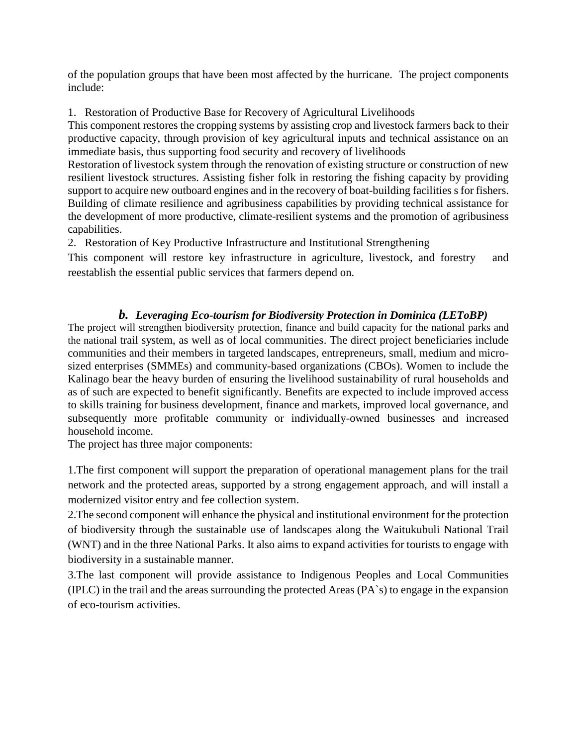of the population groups that have been most affected by the hurricane. The project components include:

1. Restoration of Productive Base for Recovery of Agricultural Livelihoods

This component restores the cropping systems by assisting crop and livestock farmers back to their productive capacity, through provision of key agricultural inputs and technical assistance on an immediate basis, thus supporting food security and recovery of livelihoods

Restoration of livestock system through the renovation of existing structure or construction of new resilient livestock structures. Assisting fisher folk in restoring the fishing capacity by providing support to acquire new outboard engines and in the recovery of boat-building facilities s for fishers. Building of climate resilience and agribusiness capabilities by providing technical assistance for the development of more productive, climate-resilient systems and the promotion of agribusiness capabilities.

2. Restoration of Key Productive Infrastructure and Institutional Strengthening

This component will restore key infrastructure in agriculture, livestock, and forestry and reestablish the essential public services that farmers depend on.

### *b. Leveraging Eco-tourism for Biodiversity Protection in Dominica (LEToBP)*

The project will strengthen biodiversity protection, finance and build capacity for the national parks and the national trail system, as well as of local communities. The direct project beneficiaries include communities and their members in targeted landscapes, entrepreneurs, small, medium and microsized enterprises (SMMEs) and community-based organizations (CBOs). Women to include the Kalinago bear the heavy burden of ensuring the livelihood sustainability of rural households and as of such are expected to benefit significantly. Benefits are expected to include improved access to skills training for business development, finance and markets, improved local governance, and subsequently more profitable community or individually-owned businesses and increased household income.

The project has three major components:

1.The first component will support the preparation of operational management plans for the trail network and the protected areas, supported by a strong engagement approach, and will install a modernized visitor entry and fee collection system.

2.The second component will enhance the physical and institutional environment for the protection of biodiversity through the sustainable use of landscapes along the Waitukubuli National Trail (WNT) and in the three National Parks. It also aims to expand activities for tourists to engage with biodiversity in a sustainable manner.

3.The last component will provide assistance to Indigenous Peoples and Local Communities (IPLC) in the trail and the areas surrounding the protected Areas (PA`s) to engage in the expansion of eco-tourism activities.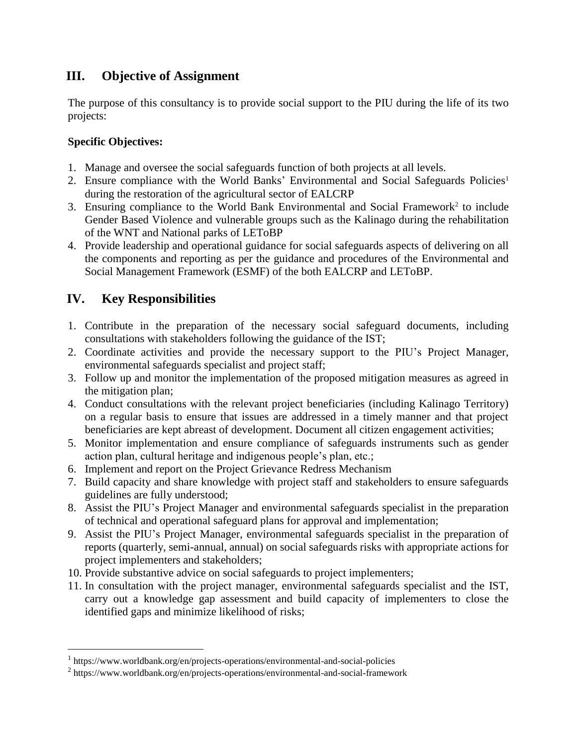## **III. Objective of Assignment**

The purpose of this consultancy is to provide social support to the PIU during the life of its two projects:

#### **Specific Objectives:**

- 1. Manage and oversee the social safeguards function of both projects at all levels.
- 2. Ensure compliance with the World Banks' Environmental and Social Safeguards Policies<sup>1</sup> during the restoration of the agricultural sector of EALCRP
- 3. Ensuring compliance to the World Bank Environmental and Social Framework<sup>2</sup> to include Gender Based Violence and vulnerable groups such as the Kalinago during the rehabilitation of the WNT and National parks of LEToBP
- 4. Provide leadership and operational guidance for social safeguards aspects of delivering on all the components and reporting as per the guidance and procedures of the Environmental and Social Management Framework (ESMF) of the both EALCRP and LEToBP.

# **IV. Key Responsibilities**

 $\overline{a}$ 

- 1. Contribute in the preparation of the necessary social safeguard documents, including consultations with stakeholders following the guidance of the IST;
- 2. Coordinate activities and provide the necessary support to the PIU's Project Manager, environmental safeguards specialist and project staff;
- 3. Follow up and monitor the implementation of the proposed mitigation measures as agreed in the mitigation plan;
- 4. Conduct consultations with the relevant project beneficiaries (including Kalinago Territory) on a regular basis to ensure that issues are addressed in a timely manner and that project beneficiaries are kept abreast of development. Document all citizen engagement activities;
- 5. Monitor implementation and ensure compliance of safeguards instruments such as gender action plan, cultural heritage and indigenous people's plan, etc.;
- 6. Implement and report on the Project Grievance Redress Mechanism
- 7. Build capacity and share knowledge with project staff and stakeholders to ensure safeguards guidelines are fully understood;
- 8. Assist the PIU's Project Manager and environmental safeguards specialist in the preparation of technical and operational safeguard plans for approval and implementation;
- 9. Assist the PIU's Project Manager, environmental safeguards specialist in the preparation of reports (quarterly, semi-annual, annual) on social safeguards risks with appropriate actions for project implementers and stakeholders;
- 10. Provide substantive advice on social safeguards to project implementers;
- 11. In consultation with the project manager, environmental safeguards specialist and the IST, carry out a knowledge gap assessment and build capacity of implementers to close the identified gaps and minimize likelihood of risks;

<sup>&</sup>lt;sup>1</sup> https://www.worldbank.org/en/projects-operations/environmental-and-social-policies

<sup>&</sup>lt;sup>2</sup> https://www.worldbank.org/en/projects-operations/environmental-and-social-framework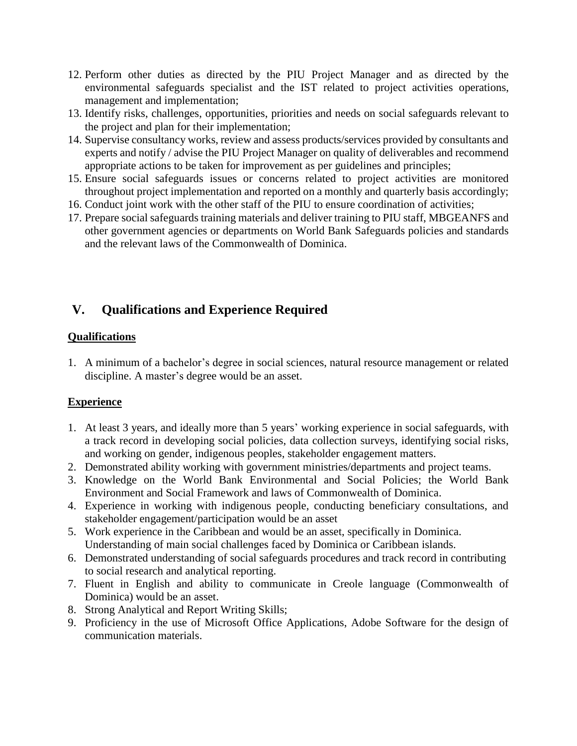- 12. Perform other duties as directed by the PIU Project Manager and as directed by the environmental safeguards specialist and the IST related to project activities operations, management and implementation;
- 13. Identify risks, challenges, opportunities, priorities and needs on social safeguards relevant to the project and plan for their implementation;
- 14. Supervise consultancy works, review and assess products/services provided by consultants and experts and notify / advise the PIU Project Manager on quality of deliverables and recommend appropriate actions to be taken for improvement as per guidelines and principles;
- 15. Ensure social safeguards issues or concerns related to project activities are monitored throughout project implementation and reported on a monthly and quarterly basis accordingly;
- 16. Conduct joint work with the other staff of the PIU to ensure coordination of activities;
- 17. Prepare social safeguards training materials and deliver training to PIU staff, MBGEANFS and other government agencies or departments on World Bank Safeguards policies and standards and the relevant laws of the Commonwealth of Dominica.

# **V. Qualifications and Experience Required**

#### **Qualifications**

1. A minimum of a bachelor's degree in social sciences, natural resource management or related discipline. A master's degree would be an asset.

### **Experience**

- 1. At least 3 years, and ideally more than 5 years' working experience in social safeguards, with a track record in developing social policies, data collection surveys, identifying social risks, and working on gender, indigenous peoples, stakeholder engagement matters.
- 2. Demonstrated ability working with government ministries/departments and project teams.
- 3. Knowledge on the World Bank Environmental and Social Policies; the World Bank Environment and Social Framework and laws of Commonwealth of Dominica.
- 4. Experience in working with indigenous people, conducting beneficiary consultations, and stakeholder engagement/participation would be an asset
- 5. Work experience in the Caribbean and would be an asset, specifically in Dominica. Understanding of main social challenges faced by Dominica or Caribbean islands.
- 6. Demonstrated understanding of social safeguards procedures and track record in contributing to social research and analytical reporting.
- 7. Fluent in English and ability to communicate in Creole language (Commonwealth of Dominica) would be an asset.
- 8. Strong Analytical and Report Writing Skills;
- 9. Proficiency in the use of Microsoft Office Applications, Adobe Software for the design of communication materials.